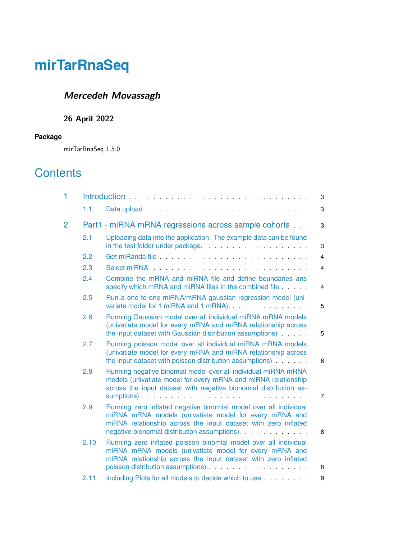# <span id="page-0-0"></span>**Mercedeh Movassagh**

## **26 April 2022**

#### **Package**

mirTarRnaSeq 1.5.0

# **Contents**

| 1 |      |                                                                                                                                                                                                                                                | 3              |
|---|------|------------------------------------------------------------------------------------------------------------------------------------------------------------------------------------------------------------------------------------------------|----------------|
|   | 1.1  | Data upload entertainment and the contract of the contract of the contract of the contract of the contract of                                                                                                                                  | 3              |
| 2 |      | Part1 - miRNA mRNA regressions across sample cohorts                                                                                                                                                                                           | 3              |
|   | 2.1  | Uploading data into the application. The example data can be found                                                                                                                                                                             | 3              |
|   | 2.2  | Get miRanda file <b>contained</b> and contained a set of the set of the set of the set of the set of the set of the set of the set of the set of the set of the set of the set of the set of the set of the set of the set of the s            | $\overline{4}$ |
|   | 2.3  |                                                                                                                                                                                                                                                | $\overline{4}$ |
|   | 2.4  | Combine the mRNA and miRNA file and define boundaries ans<br>specify which mRNA and miRNA files in the combined file.                                                                                                                          | 4              |
|   | 2.5  | Run a one to one miRNA/mRNA gaussian regression model (uni-<br>variate model for 1 miRNA and 1 mRNA).                                                                                                                                          | 5              |
|   | 2.6  | Running Gaussian model over all individual miRNA mRNA models<br>(univatiate model for every mRNA and miRNA relationship across<br>the input dataset with Gaussian distribution assumptions)                                                    | 5              |
|   | 2.7  | Running poisson model over all individual miRNA mRNA models<br>(univatiate model for every mRNA and miRNA relationship across<br>the input dataset with poisson distribution assumptions)                                                      | 6              |
|   | 2.8  | Running negative binomial model over all individual miRNA mRNA<br>models (univatiate model for every mRNA and miRNA relationship<br>across the input dataset with negative bionomial distribution as-                                          | 7              |
|   | 2.9  | Running zero inflated negative binomial model over all individual<br>miRNA mRNA models (univatiate model for every mRNA and<br>miRNA relationship across the input dataset with zero inflated<br>negative bionomial distribution assumptions). | 8              |
|   | 2.10 | Running zero inflated poisson binomial model over all individual<br>miRNA mRNA models (univatiate model for every mRNA and<br>miRNA relationship across the input dataset with zero inflated                                                   | 8              |
|   | 2.11 | Including Plots for all models to decide which to use                                                                                                                                                                                          | 9              |
|   |      |                                                                                                                                                                                                                                                |                |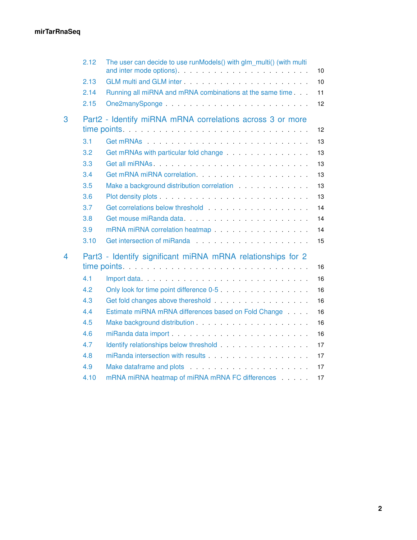|                | 2.12                                                            | The user can decide to use runModels() with glm multi() (with multi                                                                                                                                                                        | 10 |  |  |
|----------------|-----------------------------------------------------------------|--------------------------------------------------------------------------------------------------------------------------------------------------------------------------------------------------------------------------------------------|----|--|--|
|                | 2.13                                                            | GLM multi and GLM inter enters and a series of the series of the series of the series of the series of the series of the series of the series of the series of the series of the series of the series of the series of the ser             | 10 |  |  |
|                | 2.14                                                            | Running all miRNA and mRNA combinations at the same time.                                                                                                                                                                                  | 11 |  |  |
|                | 2.15                                                            |                                                                                                                                                                                                                                            | 12 |  |  |
| 3              | Part2 - Identify miRNA mRNA correlations across 3 or more<br>12 |                                                                                                                                                                                                                                            |    |  |  |
|                | 3.1                                                             |                                                                                                                                                                                                                                            | 13 |  |  |
|                | 3.2                                                             | Get mRNAs with particular fold change entitled and such a set of the set of the set of the set of the set of the set of the set of the set of the set of the set of the set of the set of the set of the set of the set of the             | 13 |  |  |
|                | 3.3                                                             | Get all miRNAs                                                                                                                                                                                                                             | 13 |  |  |
|                | 3.4                                                             |                                                                                                                                                                                                                                            | 13 |  |  |
|                | 3.5                                                             | Make a background distribution correlation                                                                                                                                                                                                 | 13 |  |  |
|                | 3.6                                                             |                                                                                                                                                                                                                                            | 13 |  |  |
|                | 3.7                                                             | Get correlations below threshold entitled and the correlations below threshold                                                                                                                                                             | 14 |  |  |
|                | 3.8                                                             |                                                                                                                                                                                                                                            | 14 |  |  |
|                | 3.9                                                             | mRNA miRNA correlation heatmap materials are all the materials of the materials of the materials of the materials of the materials of the materials of the materials of the materials of the materials of the materials of the             | 14 |  |  |
|                | 3.10                                                            | Get intersection of miRanda<br>Set intersection of miRanda<br>Set intersection of miRanda<br>Set intersection of miRanda<br>Set intersection of miRanda<br>Set intersection of miRanda<br>Set in terms of the set in terms of the set in t | 15 |  |  |
| $\overline{4}$ | Part3 - Identify significant miRNA mRNA relationships for 2     |                                                                                                                                                                                                                                            |    |  |  |
|                |                                                                 |                                                                                                                                                                                                                                            | 16 |  |  |
|                | 4.1                                                             |                                                                                                                                                                                                                                            | 16 |  |  |
|                | 4.2                                                             |                                                                                                                                                                                                                                            | 16 |  |  |
|                | 4.3                                                             |                                                                                                                                                                                                                                            | 16 |  |  |
|                | 4.4                                                             | Estimate miRNA mRNA differences based on Fold Change                                                                                                                                                                                       | 16 |  |  |
|                | 4.5                                                             |                                                                                                                                                                                                                                            | 16 |  |  |
|                | 4.6                                                             | miRanda data import established and the series and the series and the miRanda data import that is a series of                                                                                                                              | 16 |  |  |
|                | 4.7                                                             | Identify relationships below threshold entitled and an analyzing the state of the state of the state of the state of the state of the state of the state of the state of the state of the state of the state of the state of t             | 17 |  |  |
|                | 4.8                                                             | miRanda intersection with results <b>Example 20</b> in the set of the set of the set of the set of the set of the set of the set of the set of the set of the set of the set of the set of the set of the set of the set of the set        | 17 |  |  |
|                | 4.9                                                             | Make dataframe and plots entertainment and the set of the set of the set of the set of the set of the set of the set of the set of the set of the set of the set of the set of the set of the set of the set of the set of the             | 17 |  |  |
|                | 4.10                                                            | mRNA miRNA heatmap of miRNA mRNA FC differences                                                                                                                                                                                            | 17 |  |  |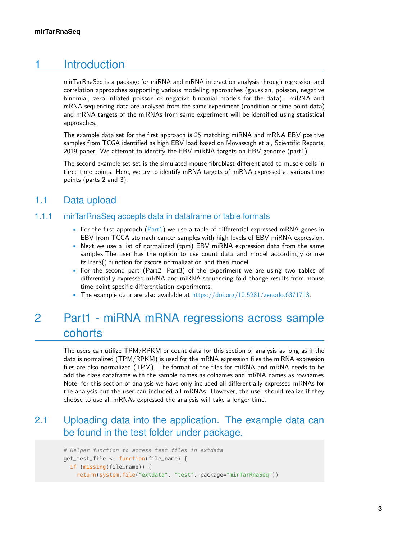# 1 Introduction

<span id="page-2-0"></span>mirTarRnaSeq is a package for miRNA and mRNA interaction analysis through regression and correlation approaches supporting various modeling approaches (gaussian, poisson, negative binomial, zero inflated poisson or negative binomial models for the data). miRNA and mRNA sequencing data are analysed from the same experiment (condition or time point data) and mRNA targets of the miRNAs from same experiment will be identified using statistical approaches.

The example data set for the first approach is 25 matching miRNA and mRNA EBV positive samples from TCGA identified as high EBV load based on Movassagh et al, Scientific Reports, 2019 paper. We attempt to identify the EBV miRNA targets on EBV genome (part1).

<span id="page-2-1"></span>The second example set set is the simulated mouse fibroblast differentiated to muscle cells in three time points. Here, we try to identify mRNA targets of miRNA expressed at various time points (parts 2 and 3).

# 1.1 Data upload

#### 1.1.1 mirTarRnaSeq accepts data in dataframe or table formats

- For the first approach ( $Part1$ ) we use a table of differential expressed mRNA genes in EBV from TCGA stomach cancer samples with high levels of EBV miRNA expression.
- Next we use a list of normalized (tpm) EBV miRNA expression data from the same samples.The user has the option to use count data and model accordingly or use tzTrans() function for zscore normalization and then model.
- For the second part (Part2, Part3) of the experiment we are using two tables of differentially expressed mRNA and miRNA sequencing fold change results from mouse time point specific differentiation experiments.
- <span id="page-2-2"></span>• The example data are also available at [https://doi.org/10.5281/zenodo.6371713.](https://doi.org/10.5281/zenodo.6371713)

# 2 Part1 - miRNA mRNA regressions across sample cohorts

The users can utilize TPM/RPKM or count data for this section of analysis as long as if the data is normalized (TPM/RPKM) is used for the mRNA expression files the miRNA expression files are also normalized (TPM). The format of the files for miRNA and mRNA needs to be odd the class dataframe with the sample names as colnames and mRNA names as rownames. Note, for this section of analysis we have only included all differentially expressed mRNAs for the analysis but the user can included all mRNAs. However, the user should realize if they choose to use all mRNAs expressed the analysis will take a longer time.

## <span id="page-2-3"></span>2.1 Uploading data into the application. The example data can be found in the test folder under package.

```
# Helper function to access test files in extdata
get_test_file <- function(file_name) {
 if (missing(file_name)) {
    return(system.file("extdata", "test", package="mirTarRnaSeq"))
```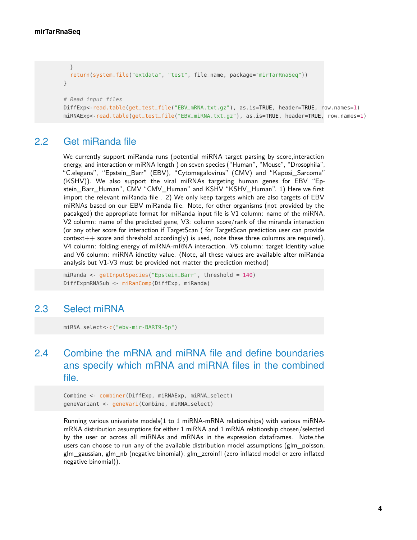```
}
  return(system.file("extdata", "test", file_name, package="mirTarRnaSeq"))
}
# Read input files
DiffExp<-read.table(get_test_file("EBV_mRNA.txt.gz"), as.is=TRUE, header=TRUE, row.names=1)
miRNAExp<-read.table(get_test_file("EBV_miRNA.txt.gz"), as.is=TRUE, header=TRUE, row.names=1)
```
### 2.2 Get miRanda file

<span id="page-3-0"></span>We currently support miRanda runs (potential miRNA target parsing by score,interaction energy, and interaction or miRNA length ) on seven species ("Human", "Mouse", "Drosophila", "C.elegans", "Epstein\_Barr" (EBV), "Cytomegalovirus" (CMV) and "Kaposi\_Sarcoma" (KSHV)). We also support the viral miRNAs targeting human genes for EBV "Epstein\_Barr\_Human", CMV "CMV\_Human" and KSHV "KSHV\_Human". 1) Here we first import the relevant miRanda file . 2) We only keep targets which are also targets of EBV miRNAs based on our EBV miRanda file. Note, for other organisms (not provided by the pacakged) the appropriate format for miRanda input file is V1 column: name of the miRNA, V2 column: name of the predicted gene, V3: column score/rank of the miranda interaction (or any other score for interaction if TargetScan ( for TargetScan prediction user can provide  $context++$  score and threshold accordingly) is used, note these three columns are required), V4 column: folding energy of miRNA-mRNA interaction. V5 column: target Identity value and V6 column: miRNA idnetity value. (Note, all these values are available after miRanda analysis but V1-V3 must be provided not matter the prediction method)

<span id="page-3-1"></span>miRanda <- getInputSpecies("Epstein\_Barr", threshold = 140) DiffExpmRNASub <- miRanComp(DiffExp, miRanda)

## 2.3 Select miRNA

<span id="page-3-2"></span>miRNA\_select<-c("ebv-mir-BART9-5p")

# 2.4 Combine the mRNA and miRNA file and define boundaries ans specify which mRNA and miRNA files in the combined file.

Combine <- combiner(DiffExp, miRNAExp, miRNA\_select) geneVariant <- geneVari(Combine, miRNA\_select)

<span id="page-3-3"></span>Running various univariate models(1 to 1 miRNA-mRNA relationships) with various miRNAmRNA distribution assumptions for either 1 miRNA and 1 mRNA relationship chosen/selected by the user or across all miRNAs and mRNAs in the expression dataframes. Note,the users can choose to run any of the available distribution model assumptions (glm\_poisson, glm\_gaussian, glm\_nb (negative binomial), glm\_zeroinfl (zero inflated model or zero inflated negative binomial)).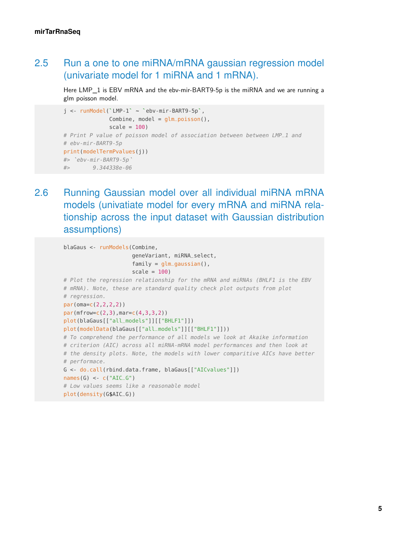# 2.5 Run a one to one miRNA/mRNA gaussian regression model (univariate model for 1 miRNA and 1 mRNA).

Here LMP\_1 is EBV mRNA and the ebv-mir-BART9-5p is the miRNA and we are running a glm poisson model. Here LMP\_1 is EBV mRNA and the ebv-mir-BAR<br>glm poisson model.<br>j <- runModel(`LMP-1` ~ `ebv-mir-BART9-5p`,

```
Combine, model = glm_poisson(),
                   scale = 100)
# Print P value of poisson model of association between between LMP_1 and<br># ebv-mir-BART9-5p<br>print(modelTermPvalues(j))<br>#> `ebv-mir-BART9-5p`
# ebv-mir-BART9-5p
print(modelTermPvalues(j))
#> 9.344338e-06
```
<span id="page-4-0"></span>2.6 Running Gaussian model over all individual miRNA mRNA models (univatiate model for every mRNA and miRNA relationship across the input dataset with Gaussian distribution assumptions)

```
blaGaus <- runModels(Combine,
                     geneVariant, miRNA_select,
                     family = glm_gaussian(),
                     scale = 100)
# Plot the regression relationship for the mRNA and miRNAs (BHLF1 is the EBV
# mRNA). Note, these are standard quality check plot outputs from plot
# regression.
par(oma=c(2,2,2,2))
par(mfrow=c(2,3),mar=c(4,3,3,2))plot(blaGaus[["all_models"]][["BHLF1"]])
plot(modelData(blaGaus[["all_models"]][["BHLF1"]]))
# To comprehend the performance of all models we look at Akaike information
# criterion (AIC) across all miRNA-mRNA model performances and then look at
# the density plots. Note, the models with lower comparitive AICs have better
# performace.
G <- do.call(rbind.data.frame, blaGaus[["AICvalues"]])
names(G) <- c("AIC_G")# Low values seems like a reasonable model
plot(density(G$AIC_G))
```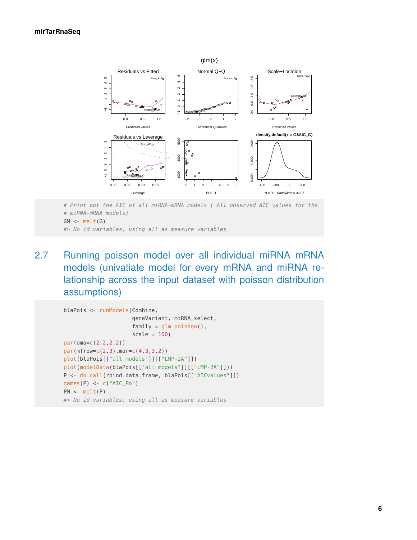

# Print out the AIC of all miRNA-mRNA models ( All observed AIC values for the # miRNA-mRNA models)  $GM < -melt(G)$ 

<span id="page-5-0"></span>#> No id variables; using all as measure variables

2.7 Running poisson model over all individual miRNA mRNA models (univatiate model for every mRNA and miRNA relationship across the input dataset with poisson distribution assumptions)

```
blaPois <- runModels(Combine,
                     geneVariant, miRNA_select,
                     family = glm_poisson(),
                     scale = 100)
par(oma=c(2,2,2,2))
par(mfrow=c(2,3),mar=c(4,3,3,2))
plot(blaPois[["all_models"]][["LMP-2A"]])
plot(modelData(blaPois[["all_models"]][["LMP-2A"]]))
P <- do.call(rbind.data.frame, blaPois[["AICvalues"]])
names(P) <- c("AIC_Po")PM <- melt(P)
#> No id variables; using all as measure variables
```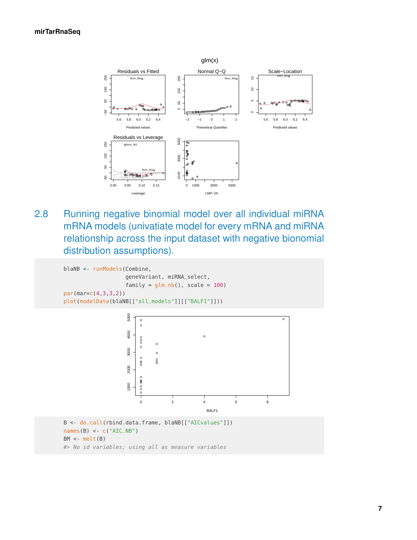

<span id="page-6-0"></span>2.8 Running negative binomial model over all individual miRNA mRNA models (univatiate model for every mRNA and miRNA relationship across the input dataset with negative bionomial distribution assumptions).

```
blaNB <- runModels(Combine,
                   geneVariant, miRNA_select,
                   family = glm_n(b), scale = 100)
par(mar=c(4,3,3,2))
plot(modelData(blaNB[["all_models"]][["BALF1"]]))
```


BM <- melt(B)

<span id="page-6-1"></span>#> No id variables; using all as measure variables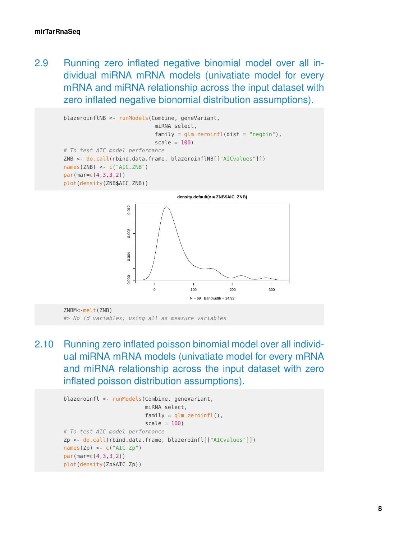2.9 Running zero inflated negative binomial model over all individual miRNA mRNA models (univatiate model for every mRNA and miRNA relationship across the input dataset with zero inflated negative bionomial distribution assumptions).

```
blazeroinflNB <- runModels(Combine, geneVariant,
                            miRNA_select,
                            family = glm\_zeroinfl(dist = "negbin"),scale = 100)
# To test AIC model performance
ZNB <- do.call(rbind.data.frame, blazeroinflNB[["AICvalues"]])
names(ZNB) <- c("AIC_ZNB")
par(mar=c(4,3,3,2))
plot(density(ZNB$AIC_ZNB))
```


<span id="page-7-0"></span>ZNBM<-melt(ZNB) #> No id variables; using all as measure variables

2.10 Running zero inflated poisson binomial model over all individual miRNA mRNA models (univatiate model for every mRNA and miRNA relationship across the input dataset with zero inflated poisson distribution assumptions).

```
blazeroinfl <- runModels(Combine, geneVariant,
                          miRNA_select,
                          family = glm\_zeroinfl(),
                          scale = 100)
# To test AIC model performance
Zp <- do.call(rbind.data.frame, blazeroinfl[["AICvalues"]])
names(Zp) \leq -c("AIC_Zp")par(mar=c(4,3,3,2))
plot(density(Zp$AIC_Zp))
```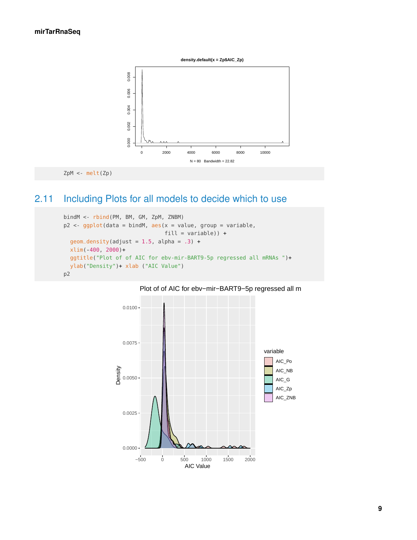

<span id="page-8-0"></span>

# 2.11 Including Plots for all models to decide which to use

```
bindM <- rbind(PM, BM, GM, ZpM, ZNBM)
p2 \leq -ggplot(data = bindM, \text{aes}(x = value, group = variable,fill = variable)) +
 geom\_density(adjust = 1.5, alpha = .3) +
 xlim(-400, 2000)+
 ggtitle("Plot of of AIC for ebv-mir-BART9-5p regressed all mRNAs ")+
 ylab("Density")+ xlab ("AIC Value")
p2
```
#### Plot of of AIC for ebv-mir-BART9-5p regressed all m

<span id="page-8-1"></span>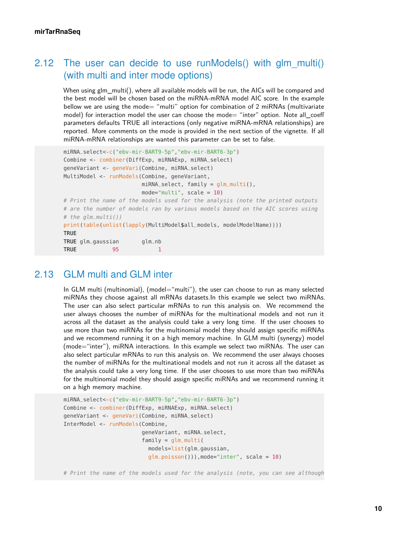# 2.12 The user can decide to use runModels() with glm multi() (with multi and inter mode options)

When using glm\_multi(), where all available models will be run, the AICs will be compared and the best model will be chosen based on the miRNA-mRNA model AIC score. In the example bellow we are using the mode= "multi" option for combination of 2 miRNAs (multivariate model) for interaction model the user can choose the mode= "inter" option. Note all coeff parameters defaults TRUE all interactions (only negative miRNA-mRNA relationships) are reported. More comments on the mode is provided in the next section of the vignette. If all miRNA-mRNA relationships are wanted this parameter can be set to false.

```
miRNA_select<-c("ebv-mir-BART9-5p","ebv-mir-BART6-3p")
Combine <- combiner(DiffExp, miRNAExp, miRNA_select)
geneVariant <- geneVari(Combine, miRNA_select)
MultiModel <- runModels(Combine, geneVariant,
                       miRNA_select, family = glm_multi(),
                       mode="multi", scale = 10)# Print the name of the models used for the analysis (note the printed outputs
# are the number of models ran by various models based on the AIC scores using
# the glm_multi())
print(table(unlist(lapply(MultiModel$all_models, modelModelName))))
TRUE
TRUE glm_gaussian glm_nb
TRUE 95 1
```
#### 2.13 GLM multi and GLM inter

<span id="page-9-0"></span>In GLM multi (multinomial), (model="multi"), the user can choose to run as many selected miRNAs they choose against all mRNAs datasets.In this example we select two miRNAs. The user can also select particular mRNAs to run this analysis on. We recommend the user always chooses the number of miRNAs for the multinational models and not run it across all the dataset as the analysis could take a very long time. If the user chooses to use more than two miRNAs for the multinomial model they should assign specific miRNAs and we recommend running it on a high memory machine. In GLM multi (synergy) model (mode="inter"), miRNA interactions. In this example we select two miRNAs. The user can also select particular mRNAs to run this analysis on. We recommend the user always chooses the number of miRNAs for the multinational models and not run it across all the dataset as the analysis could take a very long time. If the user chooses to use more than two miRNAs for the multinomial model they should assign specific miRNAs and we recommend running it on a high memory machine.

```
miRNA_select<-c("ebv-mir-BART9-5p","ebv-mir-BART6-3p")
Combine <- combiner(DiffExp, miRNAExp, miRNA_select)
geneVariant <- geneVari(Combine, miRNA_select)
InterModel <- runModels(Combine,
                        geneVariant, miRNA_select,
                        family = glm_multi(models=list(glm_gaussian,
                          glm_poisson())),mode="inter", scale = 10)
```
# Print the name of the models used for the analysis (note, you can see although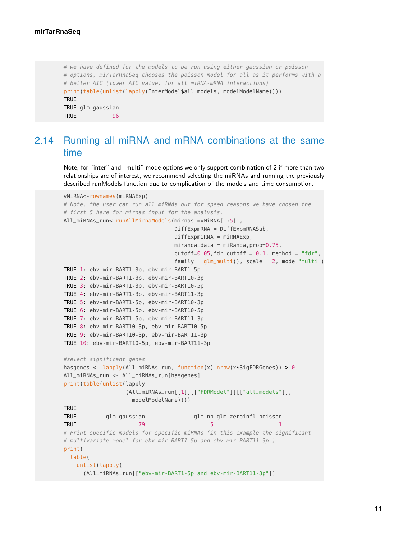```
# we have defined for the models to be run using either gaussian or poisson
# options, mirTarRnaSeq chooses the poisson model for all as it performs with a
# better AIC (lower AIC value) for all miRNA-mRNA interactions)
print(table(unlist(lapply(InterModel$all_models, modelModelName))))
TRUE
TRUE glm_gaussian
TRUE 96
```
# <span id="page-10-0"></span>2.14 Running all miRNA and mRNA combinations at the same time

Note, for "inter" and "multi" mode options we only support combination of 2 if more than two relationships are of interest, we recommend selecting the miRNAs and running the previously described runModels function due to complication of the models and time consumption.

```
vMiRNA<-rownames(miRNAExp)
# Note, the user can run all miRNAs but for speed reasons we have chosen the
# first 5 here for mirnas input for the analysis.
All_miRNAs_run<-runAllMirnaModels(mirnas =vMiRNA[1:5],
                                    DiffExpmRNA = DiffExpmRNASub,
                                    DiffExpmiRNA = miRNAExp,
                                    miranda_data = mikanda, prob=0.75,
                                    cutoff=0.05, fdr_cutoff = 0.1, method = "fdr",family = glm_multi(), scale = 2, mode="multi")
TRUE 1: ebv-mir-BART1-3p, ebv-mir-BART1-5p
TRUE 2: ebv-mir-BART1-3p, ebv-mir-BART10-3p
TRUE 3: ebv-mir-BART1-3p, ebv-mir-BART10-5p
TRUE 4: ebv-mir-BART1-3p, ebv-mir-BART11-3p
TRUE 5: ebv-mir-BART1-5p, ebv-mir-BART10-3p
TRUE 6: ebv-mir-BART1-5p, ebv-mir-BART10-5p
TRUE 7: ebv-mir-BART1-5p, ebv-mir-BART11-3p
TRUE 8: ebv-mir-BART10-3p, ebv-mir-BART10-5p
TRUE 9: ebv-mir-BART10-3p, ebv-mir-BART11-3p
TRUE 10: ebv-mir-BART10-5p, ebv-mir-BART11-3p
#select significant genes
hasgenes <- lapply(All_miRNAs_run, function(x) nrow(x$SigFDRGenes)) > 0
All_miRNAs_run <- All_miRNAs_run[hasgenes]
print(table(unlist(lapply
                    (All_miRNAs_run[[1]][["FDRModel"]][["all_models"]],
                      modelModelName))))
TRUE
TRUE glm_gaussian glm_nb glm_zeroinfl_poisson
TRUE the contract of 79 for 79 for 79 for 79 for 79 for 79 for 79 for 79 for 79 for 79 for 79 for 79 for 79 for 79 for 79 for 79 for 79 for 79 for 79 for 79 for 79 for 79 for 7# Print specific models for specific miRNAs (in this example the significant
# multivariate model for ebv-mir-BART1-5p and ebv-mir-BART11-3p )
print(
  table(
    unlist(lapply(
      (All_miRNAs_run[["ebv-mir-BART1-5p and ebv-mir-BART11-3p"]]
```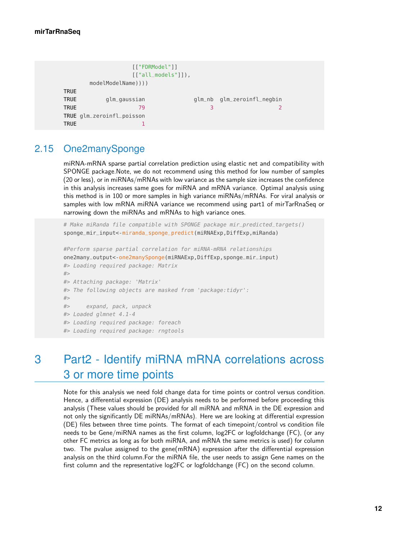```
[["FDRModel"]]
                 [["all_models"]]),
      modelModelName))))
TRIIF
TRUE glm_gaussian glm_nb glm_zeroinfl_negbin
TRUE \begin{array}{ccccccc} 79 & & & & 3 & & & \end{array}TRUE glm_zeroinfl_poisson
TRUE 1
```
### 2.15 One2manySponge

<span id="page-11-0"></span>miRNA-mRNA sparse partial correlation prediction using elastic net and compatibility with SPONGE package.Note, we do not recommend using this method for low number of samples (20 or less), or in miRNAs/mRNAs with low variance as the sample size increases the confidence in this analysis increases same goes for miRNA and mRNA variance. Optimal analysis using this method is in 100 or more samples in high variance miRNAs/mRNAs. For viral analysis or samples with low mRNA miRNA variance we recommend using part1 of mirTarRnaSeq or narrowing down the miRNAs and mRNAs to high variance ones.

# Make miRanda file compatible with SPONGE package mir\_predicted\_targets() sponge\_mir\_input<-miranda\_sponge\_predict(miRNAExp,DiffExp,miRanda)

```
#Perform sparse partial correlation for miRNA-mRNA relationships
one2many_output<-one2manySponge(miRNAExp,DiffExp,sponge_mir_input)
#> Loading required package: Matrix
#>
#> Attaching package: 'Matrix'
#> The following objects are masked from 'package:tidyr':
#>
#> expand, pack, unpack
#> Loaded glmnet 4.1-4
#> Loading required package: foreach
#> Loading required package: rngtools
```
# <span id="page-11-1"></span>3 Part2 - Identify miRNA mRNA correlations across 3 or more time points

Note for this analysis we need fold change data for time points or control versus condition. Hence, a differential expression (DE) analysis needs to be performed before proceeding this analysis (These values should be provided for all miRNA and mRNA in the DE expression and not only the significantly DE miRNAs/mRNAs). Here we are looking at differential expression (DE) files between three time points. The format of each timepoint/control vs condition file needs to be Gene/miRNA names as the first column, log2FC or logfoldchange (FC), (or any other FC metrics as long as for both miRNA, and mRNA the same metrics is used) for column two. The pvalue assigned to the gene(mRNA) expression after the differential expression analysis on the third column.For the miRNA file, the user needs to assign Gene names on the first column and the representative log2FC or logfoldchange (FC) on the second column.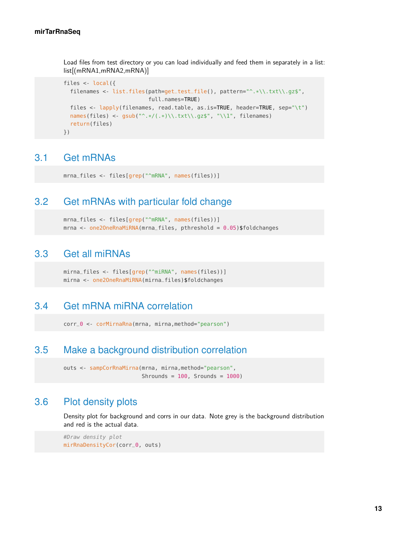Load files from test directory or you can load individually and feed them in separately in a list: list[(mRNA1,mRNA2,mRNA)]

```
files <- local({
  filenames <- list.files(path=get_test_file(), pattern="^.*\\.txt\\.gz$",
                          full.names=TRUE)
  files <- lapply(filenames, read.table, as.is=TRUE, header=TRUE, sep="\t")
  names(files) <- gsub("^.*/(.*)\\.txt\\.gz$", "\\1", filenames)
  return(files)
})
```
#### <span id="page-12-0"></span>3.1 Get mRNAs

<span id="page-12-1"></span>mrna\_files <- files[grep("^mRNA", names(files))]

### 3.2 Get mRNAs with particular fold change

```
mrna_files <- files[grep("^mRNA", names(files))]
mrna <- one2OneRnaMiRNA(mrna_files, pthreshold = 0.05)$foldchanges
```
### 3.3 Get all miRNAs

```
mirna_files <- files[grep("^miRNA", names(files))]
mirna <- one2OneRnaMiRNA(mirna_files)$foldchanges
```
#### 3.4 Get mRNA miRNA correlation

<span id="page-12-4"></span>corr\_0 <- corMirnaRna(mrna, mirna,method="pearson")

### 3.5 Make a background distribution correlation

```
outs <- sampCorRnaMirna(mrna, mirna, method="pearson",
                        Shrounds = 100, Srounds = 1000)
```
#### 3.6 Plot density plots

Density plot for background and corrs in our data. Note grey is the background distribution and red is the actual data.

```
#Draw density plot
mirRnaDensityCor(corr_0, outs)
```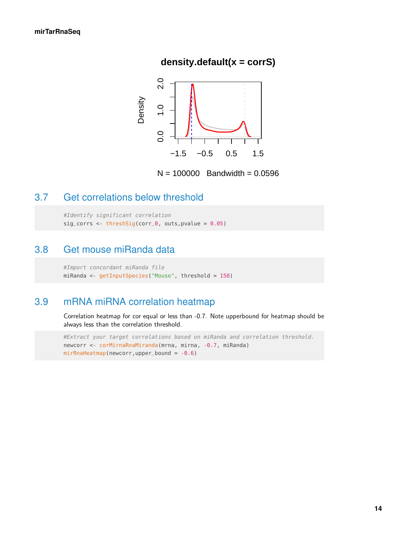### **density.default(x = corrS)**



 $N = 100000$  Bandwidth = 0.0596

# <span id="page-13-0"></span>3.7 Get correlations below threshold

<span id="page-13-1"></span>#Identify significant correlation sig\_corrs <- threshSig(corr\_0, outs, pvalue =  $0.05$ )

### 3.8 Get mouse miRanda data

```
#Import concordant miRanda file
miRanda <- getInputSpecies("Mouse", threshold = 150)
```
# 3.9 mRNA miRNA correlation heatmap

Correlation heatmap for cor equal or less than -0.7. Note upperbound for heatmap should be always less than the correlation threshold.

#Extract your target correlations based on miRanda and correlation threshold. newcorr <- corMirnaRnaMiranda(mrna, mirna, -0.7, miRanda) mirRnaHeatmap(newcorr,upper\_bound = -0.6)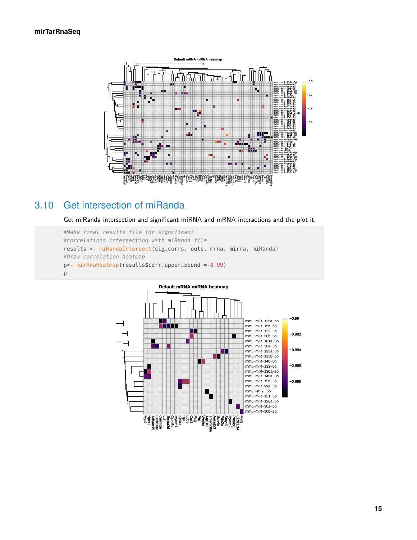

# 3.10 Get intersection of miRanda

<span id="page-14-0"></span>Get miRanda intersection and significant miRNA and mRNA interactions and the plot it.

```
#Make final results file for significant
#correlations intersecting with miRanda file
results <- miRandaIntersect(sig_corrs, outs, mrna, mirna, miRanda)
#Draw correlation heatmap
p<- mirRnaHeatmap(results$corr,upper_bound =-0.99)
p
```
<span id="page-14-1"></span>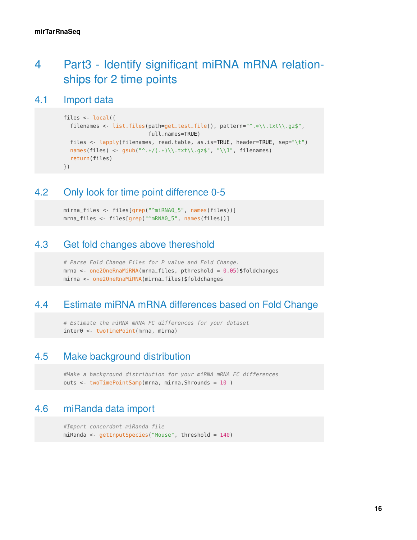# 4 Part3 - Identify significant miRNA mRNA relationships for 2 time points

#### 4.1 Import data

```
files <- local({
  filenames <- list.files(path=get_test_file(), pattern="^.*\\.txt\\.gz$",
                          full.names=TRUE)
  files <- lapply(filenames, read.table, as.is=TRUE, header=TRUE, sep="\t")
  names(files) <- gsub("^.*/(.*)\\.txt\\.gz$", "\\1", filenames)
  return(files)
})
```
### <span id="page-15-1"></span>4.2 Only look for time point difference 0-5

```
mirna_files <- files[grep("^miRNA0_5", names(files))]
mrna_files <- files[grep("^mRNA0_5", names(files))]
```
### 4.3 Get fold changes above thereshold

```
# Parse Fold Change Files for P value and Fold Change.
mrna <- one2OneRnaMiRNA(mrna_files, pthreshold = 0.05)$foldchanges
mirna <- one2OneRnaMiRNA(mirna_files)$foldchanges
```
# 4.4 Estimate miRNA mRNA differences based on Fold Change

<span id="page-15-4"></span># Estimate the miRNA mRNA FC differences for your dataset inter0 <- twoTimePoint(mrna, mirna)

## 4.5 Make background distribution

<span id="page-15-5"></span>#Make a background distribution for your miRNA mRNA FC differences outs <- twoTimePointSamp(mrna, mirna,Shrounds = 10)

# 4.6 miRanda data import

<span id="page-15-6"></span>#Import concordant miRanda file miRanda <- getInputSpecies("Mouse", threshold = 140)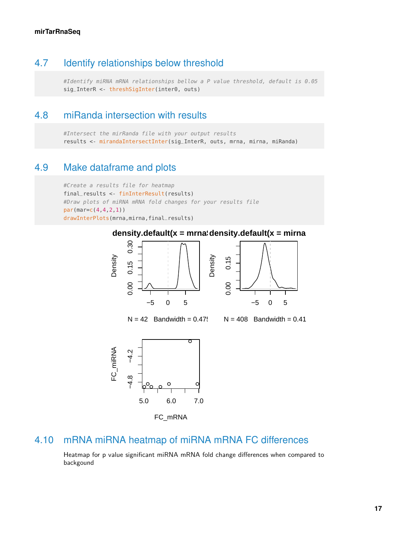### 4.7 Identify relationships below threshold

<span id="page-16-0"></span>#Identify miRNA mRNA relationships bellow a P value threshold, default is 0.05 sig\_InterR <- threshSigInter(inter0, outs)

#### 4.8 miRanda intersection with results

<span id="page-16-1"></span>#Intersect the mirRanda file with your output results results <- mirandaIntersectInter(sig\_InterR, outs, mrna, mirna, miRanda)

### 4.9 Make dataframe and plots

```
#Create a results file for heatmap
final_results <- finInterResult(results)
#Draw plots of miRNA mRNA fold changes for your results file
par(mar=c(4,4,2,1))
drawInterPlots(mrna,mirna,final_results)
```
#### density.default(x = mrna\density.default(x = mirna



FC\_mRNA

# 4.10 mRNA miRNA heatmap of miRNA mRNA FC differences

<span id="page-16-2"></span>Heatmap for p value significant miRNA mRNA fold change differences when compared to backgound